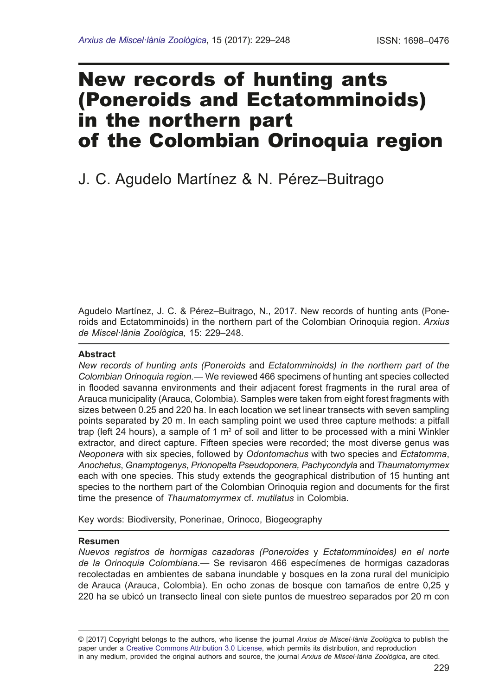# New records of hunting ants (Poneroids and Ectatomminoids) in the northern part of the Colombian Orinoquia region

## J. C. Agudelo Martínez & N. Pérez–Buitrago

Agudelo Martínez, J. C. & Pérez-Buitrago, N., 2017. New records of hunting ants (Poneroids and Ectatomminoids) in the northern part of the Colombian Orinoquia region. *Arxius de Miscel·lània Zoològica,* 15: 229–248.

## **Abstract**

*New records of hunting ants (Poneroids* and *Ectatomminoids) in the northern part of the Colombian Orinoquia region.—* We reviewed 466 specimens of hunting ant species collected in fooded savanna environments and their adjacent forest fragments in the rural area of Arauca municipality (Arauca, Colombia). Samples were taken from eight forest fragments with sizes between 0.25 and 220 ha. In each location we set linear transects with seven sampling points separated by 20 m. In each sampling point we used three capture methods: a pitfall trap (left 24 hours), a sample of 1 m<sup>2</sup> of soil and litter to be processed with a mini Winkler extractor, and direct capture. Fifteen species were recorded; the most diverse genus was *Neoponera* with six species, followed by *Odontomachus* with two species and *Ectatomma*, *Anochetus*, *Gnamptogenys*, *Prionopelta Pseudoponera, Pachycondyla* and *Thaumatomyrmex* each with one species. This study extends the geographical distribution of 15 hunting ant species to the northern part of the Colombian Orinoquia region and documents for the frst time the presence of *Thaumatomyrmex* cf. *mutilatus* in Colombia.

Key words: Biodiversity, Ponerinae, Orinoco, Biogeography

## **Resumen**

*Nuevos registros de hormigas cazadoras (Poneroides* y *Ectatomminoides) en el norte de la Orinoquia Colombiana.*— Se revisaron 466 especímenes de hormigas cazadoras recolectadas en ambientes de sabana inundable y bosques en la zona rural del municipio de Arauca (Arauca, Colombia). En ocho zonas de bosque con tamaños de entre 0,25 y 220 ha se ubicó un transecto lineal con siete puntos de muestreo separados por 20 m con

© [2017] Copyright belongs to the authors, who license the journal *Arxius de Miscel·lània Zoològica* to publish the paper under a [Creative Commons Attribution 3.0 License](http://creativecommons.org/licenses/by/3.0/deed.en), which permits its distribution, and reproduction in any medium, provided the original authors and source, the journal *Arxius de Miscel·lània Zoològica*, are cited.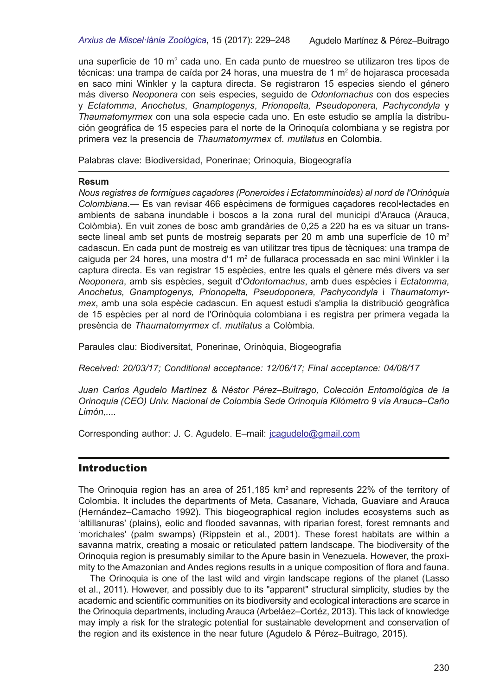una superficie de 10 m<sup>2</sup> cada uno. En cada punto de muestreo se utilizaron tres tipos de técnicas: una trampa de caída por 24 horas, una muestra de 1 mª de hojarasca procesada en saco mini Winkler y la captura directa. Se registraron 15 especies siendo el género más diverso *Neoponera* con seis especies, seguido de *Odontomachus* con dos especies y *Ectatomma*, *Anochetus*, *Gnamptogenys*, *Prionopelta, Pseudoponera, Pachycondyla* y *Thaumatomyrmex* con una sola especie cada uno. En este estudio se amplía la distribu� ción geográfca de 15 especies para el norte de la Orinoquía colombiana y se registra por primera vez la presencia de *Thaumatomyrmex* cf. *mutilatus* en Colombia.

Palabras clave: Biodiversidad, Ponerinae; Orinoquia, Biogeografía

#### **Resum**

*Nous registres de formigues caçadores (Poneroides i Ectatomminoides) al nord de l'Orinòquia Colombiana*.— Es van revisar 466 espècimens de formigues caçadores recol•lectades en ambients de sabana inundable i boscos a la zona rural del municipi d'Arauca (Arauca, Colòmbia). En vuit zones de bosc amb grandàries de 0,25 a 220 ha es va situar un trans� secte lineal amb set punts de mostreig separats per 20 m amb una superfície de 10  $m<sup>2</sup>$ cadascun. En cada punt de mostreig es van utilitzar tres tipus de tècniques: una trampa de caiguda per 24 hores, una mostra d'1 m² de fullaraca processada en sac mini Winkler i la captura directa. Es van registrar 15 espècies, entre les quals el gènere més divers va ser *Neoponera*, amb sis espècies, seguit d'*Odontomachus*, amb dues espècies i *Ectatomma, Anochetus, Gnamptogenys, Prionopelta, Pseudoponera, Pachycondyla* i *Thaumatomyrmex*, amb una sola espècie cadascun. En aquest estudi s'amplia la distribució geogràfca de 15 espècies per al nord de l'Orinòquia colombiana i es registra per primera vegada la presència de *Thaumatomyrmex* cf. *mutilatus* a Colòmbia.

Paraules clau: Biodiversitat, Ponerinae, Orinòquia, Biogeografa

*Received: 20/03/17; Conditional acceptance: 12/06/17; Final acceptance: 04/08/17*

*Juan Carlos Agudelo Martínez & Néstor Pérez–Buitrago, Colección Entomológica de la Orinoquia (CEO) Univ. Nacional de Colombia Sede Orinoquia Kilómetro 9 vía Arauca–Caño Limón,....*

Corresponding author: J. C. Agudelo. E–mail: [jcagudelo@gmail.com](mailto:jcagudelo@gmail.com)

## **Introduction**

The Orinoquia region has an area of 251,185 km<sup>2</sup> and represents 22% of the territory of Colombia. It includes the departments of Meta, Casanare, Vichada, Guaviare and Arauca (Hernández–Camacho 1992). This biogeographical region includes ecosystems such as 'altillanuras' (plains), eolic and fooded savannas, with riparian forest, forest remnants and 'morichales' (palm swamps) (Rippstein et al., 2001). These forest habitats are within a savanna matrix, creating a mosaic or reticulated pattern landscape. The biodiversity of the Orinoquia region is presumably similar to the Apure basin in Venezuela. However, the proxi� mity to the Amazonian and Andes regions results in a unique composition of fora and fauna.

The Orinoquia is one of the last wild and virgin landscape regions of the planet (Lasso et al., 2011). However, and possibly due to its "apparent" structural simplicity, studies by the academic and scientifc communities on its biodiversity and ecological interactions are scarce in the Orinoquia departments, including Arauca (Arbeláez–Cortéz, 2013). This lack of knowledge may imply a risk for the strategic potential for sustainable development and conservation of the region and its existence in the near future (Agudelo & Pérez–Buitrago, 2015).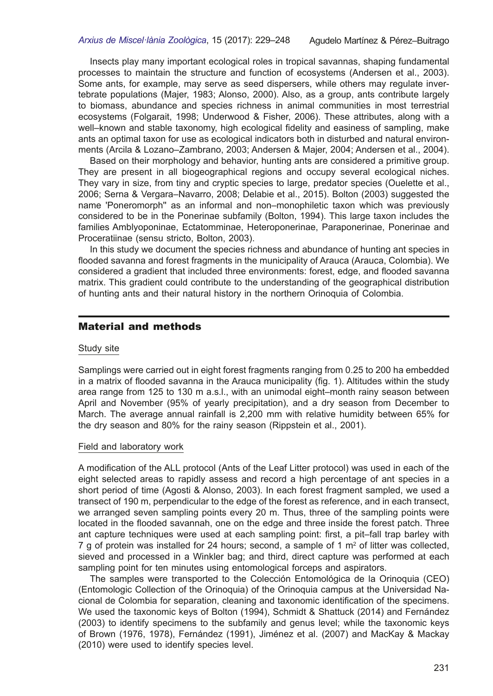Insects play many important ecological roles in tropical savannas, shaping fundamental processes to maintain the structure and function of ecosystems (Andersen et al., 2003). Some ants, for example, may serve as seed dispersers, while others may regulate invertebrate populations (Majer, 1983; Alonso, 2000). Also, as a group, ants contribute largely to biomass, abundance and species richness in animal communities in most terrestrial ecosystems (Folgarait, 1998; Underwood & Fisher, 2006). These attributes, along with a well–known and stable taxonomy, high ecological fdelity and easiness of sampling, make ants an optimal taxon for use as ecological indicators both in disturbed and natural environments (Arcila & Lozano–Zambrano, 2003; Andersen & Majer, 2004; Andersen et al., 2004).

Based on their morphology and behavior, hunting ants are considered a primitive group. They are present in all biogeographical regions and occupy several ecological niches. They vary in size, from tiny and cryptic species to large, predator species (Ouelette et al., 2006; Serna & Vergara–Navarro, 2008; Delabie et al., 2015). Bolton (2003) suggested the name 'Poneromorph'' as an informal and non–monophiletic taxon which was previously considered to be in the Ponerinae subfamily (Bolton, 1994). This large taxon includes the families Amblyoponinae, Ectatomminae, Heteroponerinae, Paraponerinae, Ponerinae and Proceratiinae (sensu stricto, Bolton, 2003).

In this study we document the species richness and abundance of hunting ant species in fooded savanna and forest fragments in the municipality of Arauca (Arauca, Colombia). We considered a gradient that included three environments: forest, edge, and fooded savanna matrix. This gradient could contribute to the understanding of the geographical distribution of hunting ants and their natural history in the northern Orinoquia of Colombia.

## Material and methods

#### Study site

Samplings were carried out in eight forest fragments ranging from 0.25 to 200 ha embedded in a matrix of fooded savanna in the Arauca municipality (fg. 1). Altitudes within the study area range from 125 to 130 m a.s.l., with an unimodal eight–month rainy season between April and November (95% of yearly precipitation), and a dry season from December to March. The average annual rainfall is 2,200 mm with relative humidity between 65% for the dry season and 80% for the rainy season (Rippstein et al., 2001).

#### Field and laboratory work

A modifcation of the ALL protocol (Ants of the Leaf Litter protocol) was used in each of the eight selected areas to rapidly assess and record a high percentage of ant species in a short period of time (Agosti & Alonso, 2003). In each forest fragment sampled, we used a transect of 190 m, perpendicular to the edge of the forest as reference, and in each transect, we arranged seven sampling points every 20 m. Thus, three of the sampling points were located in the fooded savannah, one on the edge and three inside the forest patch. Three ant capture techniques were used at each sampling point: frst, a pit–fall trap barley with 7 g of protein was installed for 24 hours; second, a sample of 1  $\text{m}^2$  of litter was collected, sieved and processed in a Winkler bag; and third, direct capture was performed at each sampling point for ten minutes using entomological forceps and aspirators.

The samples were transported to the Colección Entomológica de la Orinoquia (CEO) (Entomologic Collection of the Orinoquia) of the Orinoquia campus at the Universidad Na� cional de Colombia for separation, cleaning and taxonomic identifcation of the specimens. We used the taxonomic keys of Bolton (1994), Schmidt & Shattuck (2014) and Fernández (2003) to identify specimens to the subfamily and genus level; while the taxonomic keys of Brown (1976, 1978), Fernández (1991), Jiménez et al. (2007) and MacKay & Mackay (2010) were used to identify species level.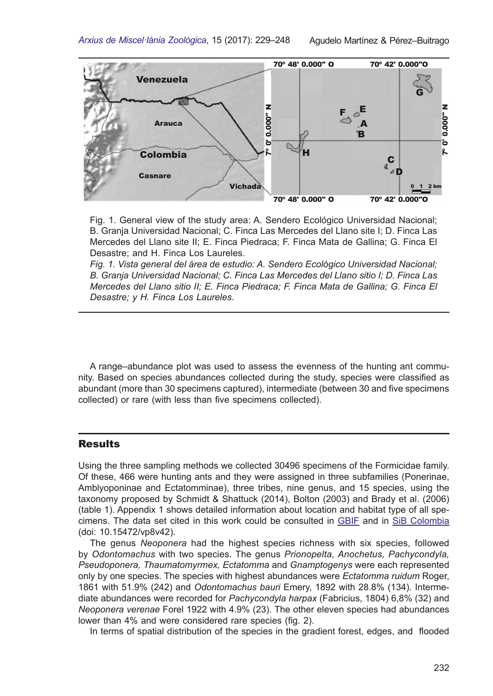

Fig. 1. General view of the study area: A. Sendero Ecológico Universidad Nacional; B. Granja Universidad Nacional; C. Finca Las Mercedes del Llano site I; D. Finca Las Mercedes del Llano site II; E. Finca Piedraca; F. Finca Mata de Gallina; G. Finca El Desastre; and H. Finca Los Laureles.

*Fig. 1. Vista general del área de estudio: A. Sendero Ecológico Universidad Nacional; B. Granja Universidad Nacional; C. Finca Las Mercedes del Llano sitio I; D. Finca Las Mercedes del Llano sitio II; E. Finca Piedraca; F. Finca Mata de Gallina; G. Finca El Desastre; y H. Finca Los Laureles.*

A range–abundance plot was used to assess the evenness of the hunting ant community. Based on species abundances collected during the study, species were classifed as abundant (more than 30 specimens captured), intermediate (between 30 and five specimens collected) or rare (with less than five specimens collected).

## **Results**

Using the three sampling methods we collected 30496 specimens of the Formicidae family. Of these, 466 were hunting ants and they were assigned in three subfamilies (Ponerinae, Amblyoponinae and Ectatomminae), three tribes, nine genus, and 15 species, using the taxonomy proposed by Schmidt & Shattuck (2014), Bolton (2003) and Brady et al. (2006)  $(table 1)$ . Appendix 1 shows detailed information about location and habitat type of all specimens. The data set cited in this work could be consulted in [GBIF](https://www.gbif.org/dataset/1560c0d7-8a87-4724-a3f9-6322e08ee8e2) and in [SiB Colombia](http://ipt.biodiversidad.co/sib/resource?r=ceo_1) (doi: 10.15472/vp8v42).

The genus *Neoponera* had the highest species richness with six species, followed by *Odontomachus* with two species. The genus *Prionopelta, Anochetus, Pachycondyla, Pseudoponera, Thaumatomyrmex, Ectatomma* and *Gnamptogenys* were each represented only by one species. The species with highest abundances were *Ectatomma ruidum* Roger, 1861 with 51.9% (242) and *Odontomachus bauri* Emery, 1892 with 28.8% (134). Interme� diate abundances were recorded for *Pachycondyla harpax* (Fabricius, 1804) 6,8% (32) and *Neoponera verenae* Forel 1922 with 4.9% (23). The other eleven species had abundances lower than 4% and were considered rare species (fig. 2).

In terms of spatial distribution of the species in the gradient forest, edges, and fooded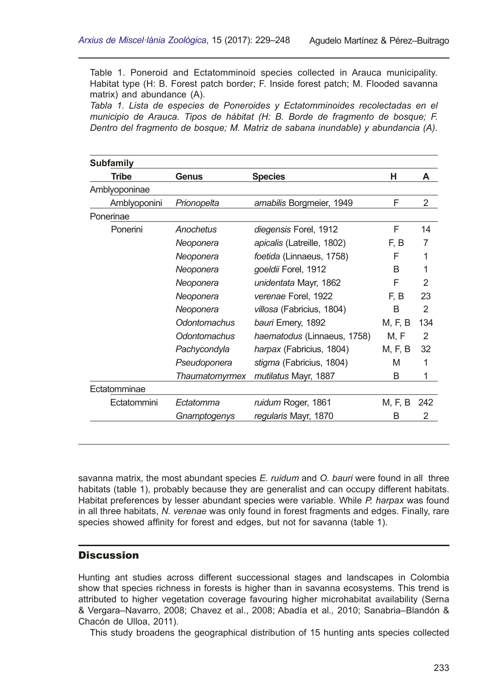Table 1. Poneroid and Ectatomminoid species collected in Arauca municipality. Habitat type (H: B. Forest patch border; F. Inside forest patch; M. Flooded savanna matrix) and abundance (A).

Tabla 1. Lista de especies de Poneroides y Ectatomminoides recolectadas en el *municipio de Arauca. Tipos de hábitat (H: B. Borde de fragmento de bosque; F. Dentro del fragmento de bosque; M. Matriz de sabana inundable) y abundancia (A).* 

| <b>Subfamily</b> |                |                                   |         |                |
|------------------|----------------|-----------------------------------|---------|----------------|
| <b>Tribe</b>     | Genus          | <b>Species</b>                    | н       | Α              |
| Amblyoponinae    |                |                                   |         |                |
| Amblyoponini     | Prionopelta    | amabilis Borgmeier, 1949          | F       | $\overline{2}$ |
| Ponerinae        |                |                                   |         |                |
| Ponerini         | Anochetus      | diegensis Forel, 1912             | F       | 14             |
|                  | Neoponera      | <i>apicalis</i> (Latreille, 1802) | F. B    | 7              |
|                  | Neoponera      | foetida (Linnaeus, 1758)          | F       |                |
|                  | Neoponera      | goeldii Forel, 1912               | B       |                |
|                  | Neoponera      | unidentata Mayr, 1862             | F       | 2              |
|                  | Neoponera      | verenae Forel, 1922               | F.B     | 23             |
|                  | Neoponera      | villosa (Fabricius, 1804)         | B       | 2              |
|                  | Odontomachus   | bauri Emery, 1892                 | M, F, B | 134            |
|                  | Odontomachus   | haematodus (Linnaeus, 1758)       | M, F    | 2              |
|                  | Pachycondyla   | harpax (Fabricius, 1804)          | M, F, B | 32             |
|                  | Pseudoponera   | stigma (Fabricius, 1804)          | M       | 1              |
|                  | Thaumatomyrmex | mutilatus Mayr, 1887              | B       | 1              |
| Ectatomminae     |                |                                   |         |                |
| Ectatommini      | Ectatomma      | ruidum Roger, 1861                | M, F, B | 242            |
|                  | Gnamptogenys   | regularis Mayr, 1870              | B       | 2              |
|                  |                |                                   |         |                |

savanna matrix, the most abundant species *E. ruidum* and *O. bauri* were found in all three habitats (table 1), probably because they are generalist and can occupy different habitats. Habitat preferences by lesser abundant species were variable. While *P. harpax* was found in all three habitats, *N. verenae* was only found in forest fragments and edges. Finally, rare species showed affnity for forest and edges, but not for savanna (table 1).

## **Discussion**

Hunting ant studies across different successional stages and landscapes in Colombia show that species richness in forests is higher than in savanna ecosystems. This trend is attributed to higher vegetation coverage favouring higher microhabitat availability (Serna & Vergara–Navarro, 2008; Chavez et al., 2008; Abadía et al*.,* 2010; Sanabria–Blandón & Chacón de Ulloa, 2011).

This study broadens the geographical distribution of 15 hunting ants species collected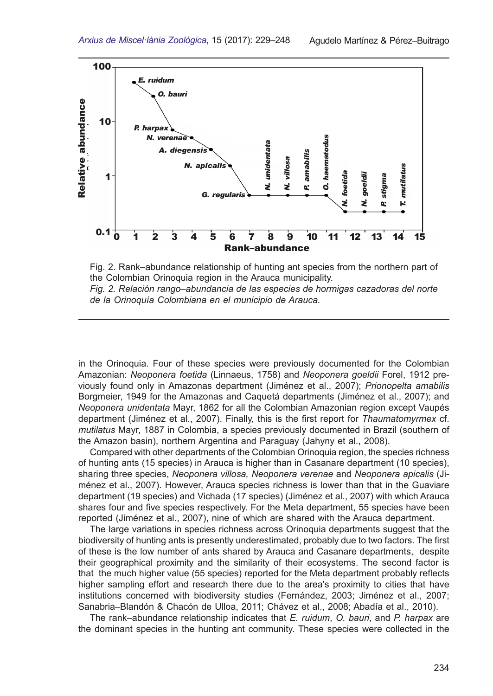

Fig. 2. Rank–abundance relationship of hunting ant species from the northern part of the Colombian Orinoquia region in the Arauca municipality. *Fig. 2. Relación rango–abundancia de las especies de hormigas cazadoras del norte de la Orinoquía Colombiana en el municipio de Arauca.* 

in the Orinoquia. Four of these species were previously documented for the Colombian Amazonian: *Neoponera foetida* (Linnaeus, 1758) and *Neoponera goeldii* Forel, 1912 previously found only in Amazonas department (Jiménez et al., 2007); *Prionopelta amabilis* Borgmeier, 1949 for the Amazonas and Caquetá departments (Jiménez et al., 2007); and *Neoponera unidentata* Mayr, 1862 for all the Colombian Amazonian region except Vaupés department (Jiménez et al., 2007). Finally, this is the frst report for *Thaumatomyrmex* cf. *mutilatus* Mayr, 1887 in Colombia, a species previously documented in Brazil (southern of the Amazon basin), northern Argentina and Paraguay (Jahyny et al., 2008).

Compared with other departments of the Colombian Orinoquia region, the species richness of hunting ants (15 species) in Arauca is higher than in Casanare department (10 species), sharing three species, *Neoponera villosa, Neoponera verenae* and *Neoponera apicalis* (Ji� ménez et al., 2007). However, Arauca species richness is lower than that in the Guaviare department (19 species) and Vichada (17 species) (Jiménez et al., 2007) with which Arauca shares four and fve species respectively. For the Meta department, 55 species have been reported (Jiménez et al., 2007), nine of which are shared with the Arauca department.

The large variations in species richness across Orinoquia departments suggest that the biodiversity of hunting ants is presently underestimated, probably due to two factors. The frst of these is the low number of ants shared by Arauca and Casanare departments, despite their geographical proximity and the similarity of their ecosystems. The second factor is that the much higher value (55 species) reported for the Meta department probably refects higher sampling effort and research there due to the area's proximity to cities that have institutions concerned with biodiversity studies (Fernández, 2003; Jiménez et al., 2007; Sanabria–Blandón & Chacón de Ulloa, 2011; Chávez et al., 2008; Abadía et al., 2010).

The rank–abundance relationship indicates that *E. ruidum*, *O. bauri*, and *P. harpax* are the dominant species in the hunting ant community. These species were collected in the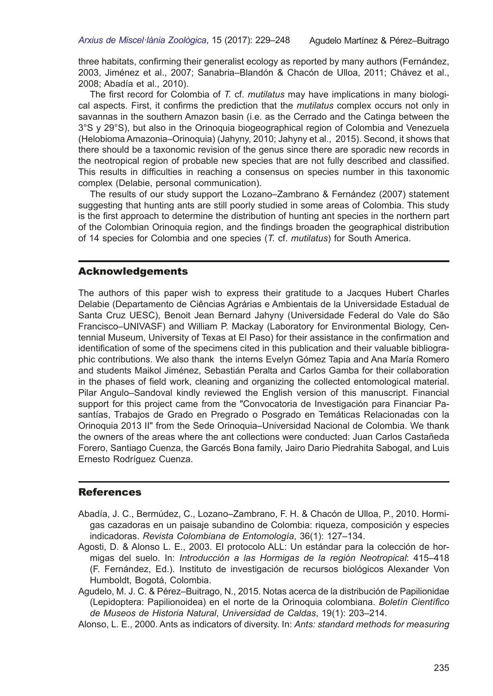three habitats, confrming their generalist ecology as reported by many authors (Fernández, 2003, Jiménez et al., 2007; Sanabria–Blandón & Chacón de Ulloa, 2011; Chávez et al., 2008; Abadía et al., 2010).

The first record for Colombia of *T.* cf. *mutilatus* may have implications in many biological aspects. First, it confrms the prediction that the *mutilatus* complex occurs not only in savannas in the southern Amazon basin (i.e. as the Cerrado and the Catinga between the 3°S y 29°S), but also in the Orinoquia biogeographical region of Colombia and Venezuela (Helobioma Amazonia–Orinoquia) (Jahyny, 2010; Jahyny et al., 2015). Second, it shows that there should be a taxonomic revision of the genus since there are sporadic new records in the neotropical region of probable new species that are not fully described and classifed. This results in diffculties in reaching a consensus on species number in this taxonomic complex (Delabie, personal communication).

The results of our study support the Lozano–Zambrano & Fernández (2007) statement suggesting that hunting ants are still poorly studied in some areas of Colombia. This study is the frst approach to determine the distribution of hunting ant species in the northern part of the Colombian Orinoquia region, and the fndings broaden the geographical distribution of 14 species for Colombia and one species (*T.* cf. *mutilatus*) for South America.

## Acknowledgements

The authors of this paper wish to express their gratitude to a Jacques Hubert Charles Delabie (Departamento de Ciências Agrárias e Ambientais de la Universidade Estadual de Santa Cruz UESC), Benoit Jean Bernard Jahyny (Universidade Federal do Vale do São Francisco–UNIVASF) and William P. Mackay (Laboratory for Environmental Biology, Cen� tennial Museum, University of Texas at El Paso) for their assistance in the confrmation and identification of some of the specimens cited in this publication and their valuable bibliographic contributions. We also thank the interns Evelyn Gómez Tapia and Ana María Romero and students Maikol Jiménez, Sebastián Peralta and Carlos Gamba for their collaboration in the phases of feld work, cleaning and organizing the collected entomological material. Pilar Angulo–Sandoval kindly reviewed the English version of this manuscript. Financial support for this project came from the "Convocatoria de Investigación para Financiar Pasantías, Trabajos de Grado en Pregrado o Posgrado en Temáticas Relacionadas con la Orinoquia 2013 II" from the Sede Orinoquia–Universidad Nacional de Colombia. We thank the owners of the areas where the ant collections were conducted: Juan Carlos Castañeda Forero, Santiago Cuenza, the Garcés Bona family, Jairo Dario Piedrahita Sabogal, and Luis Ernesto Rodríguez Cuenza.

## **References**

- Abadía, J. C., Bermúdez, C., Lozano–Zambrano, F. H. & Chacón de Ulloa, P., 2010. Hormigas cazadoras en un paisaje subandino de Colombia: riqueza, composición y especies indicadoras. *Revista Colombiana de Entomología*, 36(1): 127–134.
- Agosti, D. & Alonso L. E., 2003. El protocolo ALL: Un estándar para la colección de hormigas del suelo. In: *Introducción a las Hormigas de la región Neotropical*: 415–418 (F. Fernández, Ed.). Instituto de investigación de recursos biológicos Alexander Von Humboldt, Bogotá, Colombia.
- Agudelo, M. J. C. & Pérez–Buitrago, N., 2015. Notas acerca de la distribución de Papilionidae (Lepidoptera: Papilionoidea) en el norte de la Orinoquia colombiana. *Boletín Científco de Museos de Historia Natural*, *Universidad de Caldas*, 19(1): 203–214.
- Alonso, L. E., 2000. Ants as indicators of diversity. In: *Ants: standard methods for measuring*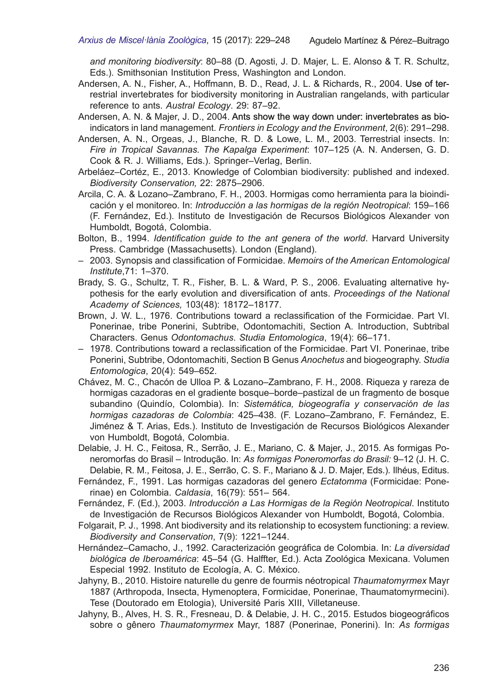*and monitoring biodiversity*: 80–88 (D. Agosti, J. D. Majer, L. E. Alonso & T. R. Schultz, Eds.). Smithsonian Institution Press, Washington and London.

- Andersen, A. N., Fisher, A., Hoffmann, B. D., Read, J. L. & Richards, R., 2004. Use of terrestrial invertebrates for biodiversity monitoring in Australian rangelands, with particular reference to ants. *Austral Ecology*. 29: 87–92.
- Andersen, A. N. & Majer, J. D., 2004. Ants show the way down under: invertebrates as bioindicators in land management. *Frontiers in Ecology and the Environment*, 2(6): 291–298.
- Andersen, A. N., Orgeas, J., Blanche, R. D. & Lowe, L. M., 2003. Terrestrial insects. In: *Fire in Tropical Savannas. The Kapalga Experiment*: 107–125 (A. N. Andersen, G. D. Cook & R. J. Williams, Eds.). Springer–Verlag, Berlin.
- Arbeláez–Cortéz, E., 2013. Knowledge of Colombian biodiversity: published and indexed. *Biodiversity Conservation,* 22: 2875–2906.
- Arcila, C. A. & Lozano–Zambrano, F. H., 2003. Hormigas como herramienta para la bioindicación y el monitoreo. In: *Introducción a las hormigas de la región Neotropical*: 159–166 (F. Fernández, Ed.). Instituto de Investigación de Recursos Biológicos Alexander von Humboldt, Bogotá, Colombia.
- Bolton, B., 1994. *Identifcation guide to the ant genera of the world*. Harvard University Press. Cambridge (Massachusetts). London (England).
- 2003. Synopsis and classifcation of Formicidae. *Memoirs of the American Entomological Institute*,71: 1–370.
- Brady, S. G., Schultz, T. R., Fisher, B. L. & Ward, P. S., 2006. Evaluating alternative hypothesis for the early evolution and diversifcation of ants. *Proceedings of the National Academy of Sciences,* 103(48): 18172–18177.
- Brown, J. W. L., 1976. Contributions toward a reclassifcation of the Formicidae. Part VI. Ponerinae, tribe Ponerini, Subtribe, Odontomachiti, Section A. Introduction, Subtribal Characters. Genus *Odontomachus*. *Studia Entomologica*, 19(4): 66–171.
- 1978. Contributions toward a reclassifcation of the Formicidae. Part VI. Ponerinae, tribe Ponerini, Subtribe, Odontomachiti, Section B Genus *Anochetus* and biogeography. *Studia Entomologica*, 20(4): 549–652.
- Chávez, M. C., Chacón de Ulloa P. & Lozano–Zambrano, F. H., 2008. Riqueza y rareza de hormigas cazadoras en el gradiente bosque–borde–pastizal de un fragmento de bosque subandino (Quindío, Colombia). In: *Sistemática, biogeografía y conservación de las hormigas cazadoras de Colombia*: 425–438. (F. Lozano–Zambrano, F. Fernández, E. Jiménez & T. Arias, Eds.). Instituto de Investigación de Recursos Biológicos Alexander von Humboldt, Bogotá, Colombia.
- Delabie, J. H. C., Feitosa, R., Serrão, J. E., Mariano, C. & Majer, J., 2015. As formigas Poneromorfas do Brasil – Introdução. In: *As formigas Poneromorfas do Brasil:* 9–12 (J. H. C. Delabie, R. M., Feitosa, J. E., Serrão, C. S. F., Mariano & J. D. Majer, Eds.). Ilhéus, Editus.
- Fernández, F., 1991. Las hormigas cazadoras del genero *Ectatomma* (Formicidae: Pone� rinae) en Colombia. *Caldasia*, 16(79): 551– 564.
- Fernández, F. (Ed.), 2003. *Introducción a Las Hormigas de la Región Neotropical*. Instituto de Investigación de Recursos Biológicos Alexander von Humboldt, Bogotá, Colombia.
- Folgarait, P. J., 1998. Ant biodiversity and its relationship to ecosystem functioning: a review. *Biodiversity and Conservation*, 7(9): 1221–1244.
- Hernández–Camacho, J., 1992. Caracterización geográfca de Colombia. In: *La diversidad biológica de Iberoamérica*: 45–54 (G. Halffter, Ed.). Acta Zoológica Mexicana. Volumen Especial 1992. Instituto de Ecología, A. C. México.
- Jahyny, B., 2010. Histoire naturelle du genre de fourmis néotropical *Thaumatomyrmex* Mayr 1887 (Arthropoda, Insecta, Hymenoptera, Formicidae, Ponerinae, Thaumatomyrmecini). Tese (Doutorado em Etologia), Université Paris XIII, Villetaneuse.
- Jahyny, B., Alves, H. S. R., Fresneau, D. & Delabie, J. H. C., 2015. Estudos biogeográfcos sobre o gênero *Thaumatomyrmex* Mayr, 1887 (Ponerinae, Ponerini). In: *As formigas*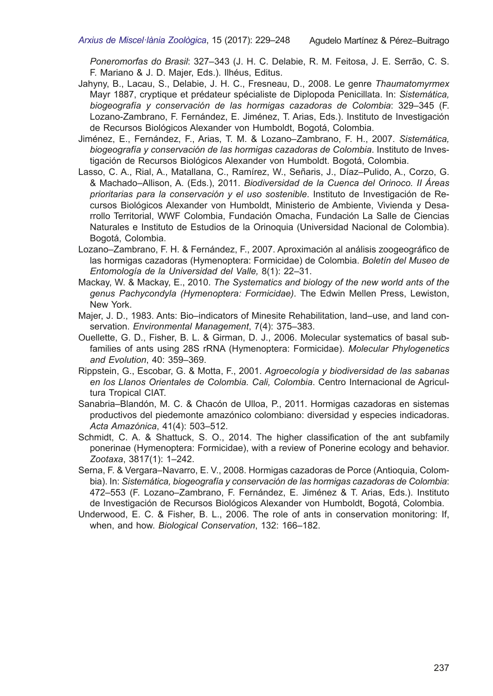*Poneromorfas do Brasil*: 327–343 (J. H. C. Delabie, R. M. Feitosa, J. E. Serrão, C. S. F. Mariano & J. D. Majer, Eds.). Ilhéus, Editus.

- Jahyny, B., Lacau, S., Delabie, J. H. C., Fresneau, D., 2008. Le genre *Thaumatomyrmex*  Mayr 1887, cryptique et prédateur spécialiste de Diplopoda Penicillata. In: *Sistemática, biogeografía y conservación de las hormigas cazadoras de Colombia*: 329–345 (F. Lozano-Zambrano, F. Fernández, E. Jiménez, T. Arias, Eds.). Instituto de Investigación de Recursos Biológicos Alexander von Humboldt, Bogotá, Colombia.
- Jiménez, E., Fernández, F., Arias, T. M. & Lozano–Zambrano, F. H., 2007. *Sistemática,*  biogeografía y conservación de las hormigas cazadoras de Colombia. Instituto de Investigación de Recursos Biológicos Alexander von Humboldt. Bogotá, Colombia.
- Lasso, C. A., Rial, A., Matallana, C., Ramírez, W., Señaris, J., Díaz–Pulido, A., Corzo, G. & Machado–Allison, A. (Eds.), 2011. *Biodiversidad de la Cuenca del Orinoco. II Áreas prioritarias para la conservación y el uso sostenible*. Instituto de Investigación de Recursos Biológicos Alexander von Humboldt, Ministerio de Ambiente, Vivienda y Desarrollo Territorial, WWF Colombia, Fundación Omacha, Fundación La Salle de Ciencias Naturales e Instituto de Estudios de la Orinoquia (Universidad Nacional de Colombia). Bogotá, Colombia.
- Lozano–Zambrano, F. H. & Fernández, F., 2007. Aproximación al análisis zoogeográfco de las hormigas cazadoras (Hymenoptera: Formicidae) de Colombia. *Boletín del Museo de Entomología de la Universidad del Valle,* 8(1): 22–31.
- Mackay, W. & Mackay, E., 2010. *The Systematics and biology of the new world ants of the genus Pachycondyla (Hymenoptera: Formicidae)*. The Edwin Mellen Press, Lewiston, New York.
- Majer, J. D., 1983. Ants: Bio–indicators of Minesite Rehabilitation, land–use, and land con� servation. *Environmental Management*, 7(4): 375–383.
- Ouellette, G. D., Fisher, B. L. & Girman, D. J., 2006. Molecular systematics of basal sub� families of ants using 28S rRNA (Hymenoptera: Formicidae). *Molecular Phylogenetics and Evolution*, 40: 359–369.
- Rippstein, G., Escobar, G. & Motta, F., 2001. *Agroecología y biodiversidad de las sabanas*  en los Llanos Orientales de Colombia. Cali, Colombia. Centro Internacional de Agricultura Tropical CIAT.
- Sanabria–Blandón, M. C. & Chacón de Ulloa, P., 2011. Hormigas cazadoras en sistemas productivos del piedemonte amazónico colombiano: diversidad y especies indicadoras. *Acta Amazónica*, 41(4): 503–512.
- Schmidt, C. A. & Shattuck, S. O., 2014. The higher classifcation of the ant subfamily ponerinae (Hymenoptera: Formicidae), with a review of Ponerine ecology and behavior. *Zootaxa*, 3817(1): 1–242.
- Serna, F. & Vergara–Navarro, E. V., 2008. Hormigas cazadoras de Porce (Antioquia, Colom� bia). In: *Sistemática, biogeografía y conservación de las hormigas cazadoras de Colombia*: 472–553 (F. Lozano–Zambrano, F. Fernández, E. Jiménez & T. Arias, Eds.). Instituto de Investigación de Recursos Biológicos Alexander von Humboldt, Bogotá, Colombia.
- Underwood, E. C. & Fisher, B. L., 2006. The role of ants in conservation monitoring: If, when, and how. *Biological Conservation*, 132: 166–182.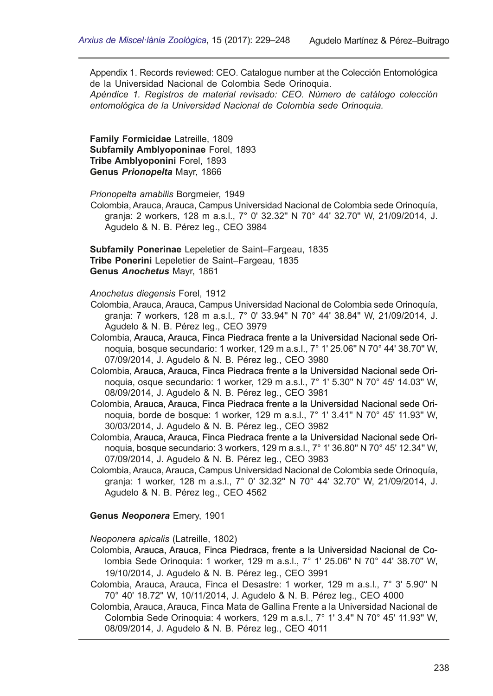Appendix 1. Records reviewed: CEO. Catalogue number at the Colección Entomológica de la Universidad Nacional de Colombia Sede Orinoquia. *Apéndice 1. Registros de material revisado: CEO. Número de catálogo colección entomológica de la Universidad Nacional de Colombia sede Orinoquia.*

**Family Formicidae** Latreille, 1809 **Subfamily Amblyoponinae** Forel, 1893 **Tribe Amblyoponini** Forel, 1893 **Genus** *Prionopelta* Mayr, 1866

*Prionopelta amabilis* Borgmeier, 1949

Colombia, Arauca, Arauca, Campus Universidad Nacional de Colombia sede Orinoquía, granja: 2 workers, 128 m a.s.l., 7° 0' 32.32'' N 70° 44' 32.70'' W, 21/09/2014, J. Agudelo & N. B. Pérez leg., CEO 3984

**Subfamily Ponerinae** Lepeletier de Saint–Fargeau, 1835 **Tribe Ponerini** Lepeletier de Saint–Fargeau, 1835 **Genus** *Anochetus* Mayr, 1861

*Anochetus diegensis* Forel, 1912

- Colombia, Arauca, Arauca, Campus Universidad Nacional de Colombia sede Orinoquía, granja: 7 workers, 128 m a.s.l., 7° 0' 33.94'' N 70° 44' 38.84'' W, 21/09/2014, J. Agudelo & N. B. Pérez leg., CEO 3979
- Colombia, Arauca, Arauca, Finca Piedraca frente a la Universidad Nacional sede Orinoquia, bosque secundario: 1 worker, 129 m a.s.l., 7° 1' 25.06'' N 70° 44' 38.70'' W, 07/09/2014, J. Agudelo & N. B. Pérez leg., CEO 3980
- Colombia, Arauca, Arauca, Finca Piedraca frente a la Universidad Nacional sede Orinoquia, osque secundario: 1 worker, 129 m a.s.l., 7° 1' 5.30'' N 70° 45' 14.03'' W, 08/09/2014, J. Agudelo & N. B. Pérez leg., CEO 3981
- Colombia, Arauca, Arauca, Finca Piedraca frente a la Universidad Nacional sede Orinoquia, borde de bosque: 1 worker, 129 m a.s.l., 7° 1' 3.41'' N 70° 45' 11.93'' W, 30/03/2014, J. Agudelo & N. B. Pérez leg., CEO 3982
- Colombia, Arauca, Arauca, Finca Piedraca frente a la Universidad Nacional sede Orinoquia, bosque secundario: 3 workers, 129 m a.s.l., 7° 1' 36.80'' N 70° 45' 12.34'' W, 07/09/2014, J. Agudelo & N. B. Pérez leg., CEO 3983
- Colombia, Arauca, Arauca, Campus Universidad Nacional de Colombia sede Orinoquía, granja: 1 worker, 128 m a.s.l., 7° 0' 32.32'' N 70° 44' 32.70'' W, 21/09/2014, J. Agudelo & N. B. Pérez leg., CEO 4562

## **Genus** *Neoponera* Emery, 1901

*Neoponera apicalis* (Latreille, 1802)

- Colombia, Arauca, Arauca, Finca Piedraca, frente a la Universidad Nacional de Colombia Sede Orinoquia: 1 worker, 129 m a.s.l., 7° 1' 25.06'' N 70° 44' 38.70'' W, 19/10/2014, J. Agudelo & N. B. Pérez leg., CEO 3991
- Colombia, Arauca, Arauca, Finca el Desastre: 1 worker, 129 m a.s.l., 7° 3' 5.90'' N 70° 40' 18.72'' W, 10/11/2014, J. Agudelo & N. B. Pérez leg., CEO 4000
- Colombia, Arauca, Arauca, Finca Mata de Gallina Frente a la Universidad Nacional de Colombia Sede Orinoquia: 4 workers, 129 m a.s.l., 7° 1' 3.4'' N 70° 45' 11.93'' W, 08/09/2014, J. Agudelo & N. B. Pérez leg., CEO 4011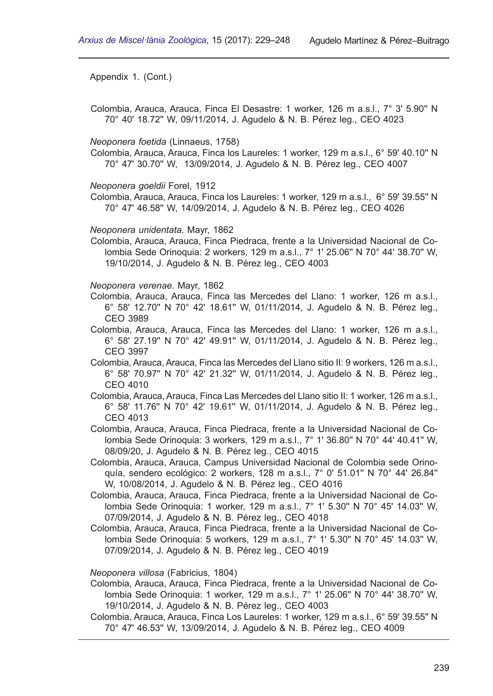Colombia, Arauca, Arauca, Finca El Desastre: 1 worker, 126 m a.s.l., 7° 3' 5.90'' N 70° 40' 18.72'' W, 09/11/2014, J. Agudelo & N. B. Pérez leg., CEO 4023

*Neoponera foetida* (Linnaeus, 1758)

Colombia, Arauca, Arauca, Finca los Laureles: 1 worker, 129 m a.s.l., 6° 59' 40.10'' N 70° 47' 30.70'' W, 13/09/2014, J. Agudelo & N. B. Pérez leg., CEO 4007

*Neoponera goeldii* Forel, 1912

Colombia, Arauca, Arauca, Finca los Laureles: 1 worker, 129 m a.s.l., 6° 59' 39.55'' N 70° 47' 46.58'' W, 14/09/2014, J. Agudelo & N. B. Pérez leg., CEO 4026

*Neoponera unidentata.* Mayr, 1862

Colombia, Arauca, Arauca, Finca Piedraca, frente a la Universidad Nacional de Colombia Sede Orinoquia: 2 workers, 129 m a.s.l., 7° 1' 25.06'' N 70° 44' 38.70'' W, 19/10/2014, J. Agudelo & N. B. Pérez leg., CEO 4003

*Neoponera verenae.* Mayr, 1862

- Colombia, Arauca, Arauca, Finca las Mercedes del Llano: 1 worker, 126 m a.s.l., 6° 58' 12.70'' N 70° 42' 18.61'' W, 01/11/2014, J. Agudelo & N. B. Pérez leg., CEO 3989
- Colombia, Arauca, Arauca, Finca las Mercedes del Llano: 1 worker, 126 m a.s.l., 6° 58' 27.19'' N 70° 42' 49.91'' W, 01/11/2014, J. Agudelo & N. B. Pérez leg., CEO 3997
- Colombia, Arauca, Arauca, Finca las Mercedes del Llano sitio II: 9 workers, 126 m a.s.l., 6° 58' 70.97'' N 70° 42' 21.32'' W, 01/11/2014, J. Agudelo & N. B. Pérez leg., CEO 4010
- Colombia, Arauca, Arauca, Finca Las Mercedes del Llano sitio II: 1 worker, 126 m a.s.l., 6° 58' 11.76'' N 70° 42' 19.61'' W, 01/11/2014, J. Agudelo & N. B. Pérez leg., CEO 4013
- Colombia, Arauca, Arauca, Finca Piedraca, frente a la Universidad Nacional de Colombia Sede Orinoquia: 3 workers, 129 m a.s.l., 7° 1' 36.80'' N 70° 44' 40.41'' W, 08/09/20, J. Agudelo & N. B. Pérez leg., CEO 4015
- Colombia, Arauca, Arauca, Campus Universidad Nacional de Colombia sede Orino� quía, sendero ecológico: 2 workers, 128 m a.s.l., 7° 0' 51.01'' N 70° 44' 26.84'' W, 10/08/2014, J. Agudelo & N. B. Pérez leg., CEO 4016
- Colombia, Arauca, Arauca, Finca Piedraca, frente a la Universidad Nacional de Colombia Sede Orinoquia: 1 worker, 129 m a.s.l., 7° 1' 5.30'' N 70° 45' 14.03'' W, 07/09/2014, J. Agudelo & N. B. Pérez leg., CEO 4018
- Colombia, Arauca, Arauca, Finca Piedraca, frente a la Universidad Nacional de Colombia Sede Orinoquia: 5 workers, 129 m a.s.l., 7° 1' 5.30'' N 70° 45' 14.03'' W, 07/09/2014, J. Agudelo & N. B. Pérez leg., CEO 4019

*Neoponera villosa* (Fabricius, 1804)

- Colombia, Arauca, Arauca, Finca Piedraca, frente a la Universidad Nacional de Colombia Sede Orinoquia: 1 worker, 129 m a.s.l., 7° 1' 25.06'' N 70° 44' 38.70'' W, 19/10/2014, J. Agudelo & N. B. Pérez leg., CEO 4003
- Colombia, Arauca, Arauca, Finca Los Laureles: 1 worker, 129 m a.s.l., 6° 59' 39.55'' N 70° 47' 46.53'' W, 13/09/2014, J. Agudelo & N. B. Pérez leg., CEO 4009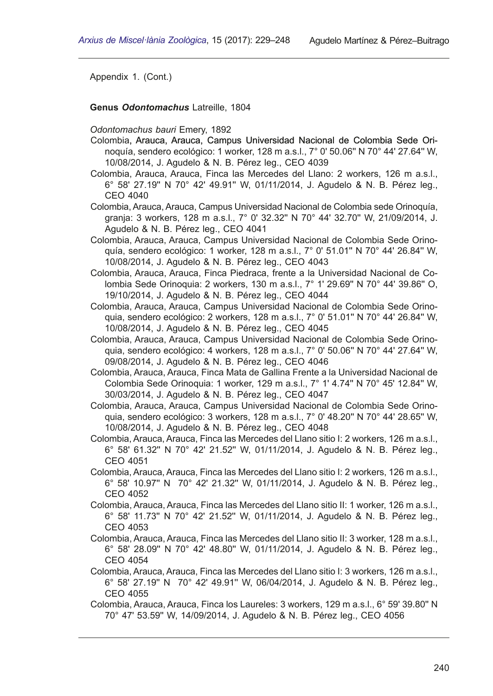**Genus** *Odontomachus* Latreille, 1804

*Odontomachus bauri* Emery, 1892

- Colombia, Arauca, Arauca, Campus Universidad Nacional de Colombia Sede Orinoquía, sendero ecológico: 1 worker, 128 m a.s.l., 7° 0' 50.06'' N 70° 44' 27.64'' W, 10/08/2014, J. Agudelo & N. B. Pérez leg., CEO 4039
- Colombia, Arauca, Arauca, Finca las Mercedes del Llano: 2 workers, 126 m a.s.l., 6° 58' 27.19'' N 70° 42' 49.91'' W, 01/11/2014, J. Agudelo & N. B. Pérez leg., CEO 4040
- Colombia, Arauca, Arauca, Campus Universidad Nacional de Colombia sede Orinoquía, granja: 3 workers, 128 m a.s.l., 7° 0' 32.32'' N 70° 44' 32.70'' W, 21/09/2014, J. Agudelo & N. B. Pérez leg., CEO 4041
- Colombia, Arauca, Arauca, Campus Universidad Nacional de Colombia Sede Orino� quía, sendero ecológico: 1 worker, 128 m a.s.l., 7° 0' 51.01'' N 70° 44' 26.84'' W, 10/08/2014, J. Agudelo & N. B. Pérez leg., CEO 4043
- Colombia, Arauca, Arauca, Finca Piedraca, frente a la Universidad Nacional de Colombia Sede Orinoquia: 2 workers, 130 m a.s.l., 7° 1' 29.69'' N 70° 44' 39.86'' O, 19/10/2014, J. Agudelo & N. B. Pérez leg., CEO 4044
- Colombia, Arauca, Arauca, Campus Universidad Nacional de Colombia Sede Orino� quia, sendero ecológico: 2 workers, 128 m a.s.l., 7° 0' 51.01'' N 70° 44' 26.84'' W, 10/08/2014, J. Agudelo & N. B. Pérez leg., CEO 4045
- Colombia, Arauca, Arauca, Campus Universidad Nacional de Colombia Sede Orino� quia, sendero ecológico: 4 workers, 128 m a.s.l., 7° 0' 50.06'' N 70° 44' 27.64'' W, 09/08/2014, J. Agudelo & N. B. Pérez leg., CEO 4046
- Colombia, Arauca, Arauca, Finca Mata de Gallina Frente a la Universidad Nacional de Colombia Sede Orinoquia: 1 worker, 129 m a.s.l., 7° 1' 4.74'' N 70° 45' 12.84'' W, 30/03/2014, J. Agudelo & N. B. Pérez leg., CEO 4047
- Colombia, Arauca, Arauca, Campus Universidad Nacional de Colombia Sede Orino� quia, sendero ecológico: 3 workers, 128 m a.s.l., 7° 0' 48.20'' N 70° 44' 28.65'' W, 10/08/2014, J. Agudelo & N. B. Pérez leg., CEO 4048
- Colombia, Arauca, Arauca, Finca las Mercedes del Llano sitio I: 2 workers, 126 m a.s.l., 6° 58' 61.32'' N 70° 42' 21.52'' W, 01/11/2014, J. Agudelo & N. B. Pérez leg., CEO 4051
- Colombia, Arauca, Arauca, Finca las Mercedes del Llano sitio I: 2 workers, 126 m a.s.l., 6° 58' 10.97'' N 70° 42' 21.32'' W, 01/11/2014, J. Agudelo & N. B. Pérez leg., CEO 4052
- Colombia, Arauca, Arauca, Finca las Mercedes del Llano sitio II: 1 worker, 126 m a.s.l., 6° 58' 11.73'' N 70° 42' 21.52'' W, 01/11/2014, J. Agudelo & N. B. Pérez leg., CEO 4053
- Colombia, Arauca, Arauca, Finca las Mercedes del Llano sitio II: 3 worker, 128 m a.s.l., 6° 58' 28.09'' N 70° 42' 48.80'' W, 01/11/2014, J. Agudelo & N. B. Pérez leg., CEO 4054
- Colombia, Arauca, Arauca, Finca las Mercedes del Llano sitio I: 3 workers, 126 m a.s.l., 6° 58' 27.19'' N 70° 42' 49.91'' W, 06/04/2014, J. Agudelo & N. B. Pérez leg., CEO 4055
- Colombia, Arauca, Arauca, Finca los Laureles: 3 workers, 129 m a.s.l., 6° 59' 39.80'' N 70° 47' 53.59'' W, 14/09/2014, J. Agudelo & N. B. Pérez leg., CEO 4056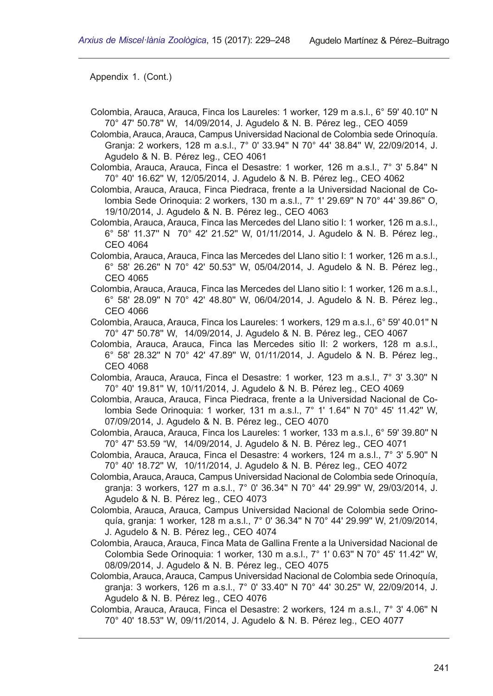- Colombia, Arauca, Arauca, Finca los Laureles: 1 worker, 129 m a.s.l., 6° 59' 40.10'' N 70° 47' 50.78'' W, 14/09/2014, J. Agudelo & N. B. Pérez leg., CEO 4059
- Colombia, Arauca, Arauca, Campus Universidad Nacional de Colombia sede Orinoquía. Granja: 2 workers, 128 m a.s.l., 7° 0' 33.94'' N 70° 44' 38.84'' W, 22/09/2014, J. Agudelo & N. B. Pérez leg., CEO 4061
- Colombia, Arauca, Arauca, Finca el Desastre: 1 worker, 126 m a.s.l., 7° 3' 5.84'' N 70° 40' 16.62'' W, 12/05/2014, J. Agudelo & N. B. Pérez leg., CEO 4062
- Colombia, Arauca, Arauca, Finca Piedraca, frente a la Universidad Nacional de Colombia Sede Orinoquia: 2 workers, 130 m a.s.l., 7° 1' 29.69'' N 70° 44' 39.86'' O, 19/10/2014, J. Agudelo & N. B. Pérez leg., CEO 4063
- Colombia, Arauca, Arauca, Finca las Mercedes del Llano sitio I: 1 worker, 126 m a.s.l., 6° 58' 11.37'' N 70° 42' 21.52'' W, 01/11/2014, J. Agudelo & N. B. Pérez leg., CEO 4064
- Colombia, Arauca, Arauca, Finca las Mercedes del Llano sitio I: 1 worker, 126 m a.s.l., 6° 58' 26.26'' N 70° 42' 50.53'' W, 05/04/2014, J. Agudelo & N. B. Pérez leg., CEO 4065
- Colombia, Arauca, Arauca, Finca las Mercedes del Llano sitio I: 1 worker, 126 m a.s.l., 6° 58' 28.09'' N 70° 42' 48.80'' W, 06/04/2014, J. Agudelo & N. B. Pérez leg., CEO 4066
- Colombia, Arauca, Arauca, Finca los Laureles: 1 workers, 129 m a.s.l., 6° 59' 40.01'' N 70° 47' 50.78'' W, 14/09/2014, J. Agudelo & N. B. Pérez leg., CEO 4067
- Colombia, Arauca, Arauca, Finca las Mercedes sitio II: 2 workers, 128 m a.s.l., 6° 58' 28.32'' N 70° 42' 47.89'' W, 01/11/2014, J. Agudelo & N. B. Pérez leg., CEO 4068
- Colombia, Arauca, Arauca, Finca el Desastre: 1 worker, 123 m a.s.l., 7° 3' 3.30'' N 70° 40' 19.81'' W, 10/11/2014, J. Agudelo & N. B. Pérez leg., CEO 4069
- Colombia, Arauca, Arauca, Finca Piedraca, frente a la Universidad Nacional de Colombia Sede Orinoquia: 1 worker, 131 m a.s.l., 7° 1' 1.64'' N 70° 45' 11.42'' W, 07/09/2014, J. Agudelo & N. B. Pérez leg., CEO 4070
- Colombia, Arauca, Arauca, Finca los Laureles: 1 worker, 133 m a.s.l., 6° 59' 39.80'' N 70° 47' 53.59 "W, 14/09/2014, J. Agudelo & N. B. Pérez leg., CEO 4071
- Colombia, Arauca, Arauca, Finca el Desastre: 4 workers, 124 m a.s.l., 7° 3' 5.90'' N 70° 40' 18.72'' W, 10/11/2014, J. Agudelo & N. B. Pérez leg., CEO 4072
- Colombia, Arauca, Arauca, Campus Universidad Nacional de Colombia sede Orinoquía, granja: 3 workers, 127 m a.s.l., 7° 0' 36.34'' N 70° 44' 29.99'' W, 29/03/2014, J. Agudelo & N. B. Pérez leg., CEO 4073
- Colombia, Arauca, Arauca, Campus Universidad Nacional de Colombia sede Orino� quía, granja: 1 worker, 128 m a.s.l., 7° 0' 36.34'' N 70° 44' 29.99'' W, 21/09/2014, J. Agudelo & N. B. Pérez leg., CEO 4074
- Colombia, Arauca, Arauca, Finca Mata de Gallina Frente a la Universidad Nacional de Colombia Sede Orinoquia: 1 worker, 130 m a.s.l., 7° 1' 0.63'' N 70° 45' 11.42'' W, 08/09/2014, J. Agudelo & N. B. Pérez leg., CEO 4075
- Colombia, Arauca, Arauca, Campus Universidad Nacional de Colombia sede Orinoquía, granja: 3 workers, 126 m a.s.l., 7° 0' 33.40'' N 70° 44' 30.25'' W, 22/09/2014, J. Agudelo & N. B. Pérez leg., CEO 4076
- Colombia, Arauca, Arauca, Finca el Desastre: 2 workers, 124 m a.s.l., 7° 3' 4.06'' N 70° 40' 18.53'' W, 09/11/2014, J. Agudelo & N. B. Pérez leg., CEO 4077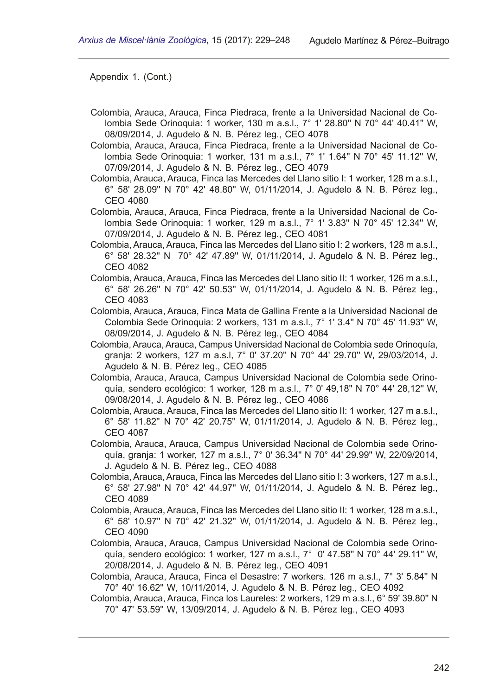- Colombia, Arauca, Arauca, Finca Piedraca, frente a la Universidad Nacional de Colombia Sede Orinoquia: 1 worker, 130 m a.s.l., 7° 1' 28.80'' N 70° 44' 40.41'' W, 08/09/2014, J. Agudelo & N. B. Pérez leg., CEO 4078
- Colombia, Arauca, Arauca, Finca Piedraca, frente a la Universidad Nacional de Colombia Sede Orinoquia: 1 worker, 131 m a.s.l., 7° 1' 1.64'' N 70° 45' 11.12'' W, 07/09/2014, J. Agudelo & N. B. Pérez leg., CEO 4079
- Colombia, Arauca, Arauca, Finca las Mercedes del Llano sitio I: 1 worker, 128 m a.s.l., 6° 58' 28.09'' N 70° 42' 48.80'' W, 01/11/2014, J. Agudelo & N. B. Pérez leg., CEO 4080
- Colombia, Arauca, Arauca, Finca Piedraca, frente a la Universidad Nacional de Colombia Sede Orinoquia: 1 worker, 129 m a.s.l., 7° 1' 3.83'' N 70° 45' 12.34'' W, 07/09/2014, J. Agudelo & N. B. Pérez leg., CEO 4081
- Colombia, Arauca, Arauca, Finca las Mercedes del Llano sitio I: 2 workers, 128 m a.s.l., 6° 58' 28.32'' N 70° 42' 47.89'' W, 01/11/2014, J. Agudelo & N. B. Pérez leg., CEO 4082
- Colombia, Arauca, Arauca, Finca las Mercedes del Llano sitio II: 1 worker, 126 m a.s.l., 6° 58' 26.26'' N 70° 42' 50.53'' W, 01/11/2014, J. Agudelo & N. B. Pérez leg., CEO 4083
- Colombia, Arauca, Arauca, Finca Mata de Gallina Frente a la Universidad Nacional de Colombia Sede Orinoquia: 2 workers, 131 m a.s.l., 7° 1' 3.4'' N 70° 45' 11.93'' W, 08/09/2014, J. Agudelo & N. B. Pérez leg., CEO 4084
- Colombia, Arauca, Arauca, Campus Universidad Nacional de Colombia sede Orinoquía, granja: 2 workers, 127 m a.s.l, 7° 0' 37.20'' N 70° 44' 29.70'' W, 29/03/2014, J. Agudelo & N. B. Pérez leg., CEO 4085
- Colombia, Arauca, Arauca, Campus Universidad Nacional de Colombia sede Orino� quía, sendero ecológico: 1 worker, 128 m a.s.l., 7° 0' 49,18'' N 70° 44' 28,12'' W, 09/08/2014, J. Agudelo & N. B. Pérez leg., CEO 4086
- Colombia, Arauca, Arauca, Finca las Mercedes del Llano sitio II: 1 worker, 127 m a.s.l., 6° 58' 11.82'' N 70° 42' 20.75'' W, 01/11/2014, J. Agudelo & N. B. Pérez leg., CEO 4087
- Colombia, Arauca, Arauca, Campus Universidad Nacional de Colombia sede Orino� quía, granja: 1 worker, 127 m a.s.l., 7° 0' 36.34'' N 70° 44' 29.99'' W, 22/09/2014, J. Agudelo & N. B. Pérez leg., CEO 4088
- Colombia, Arauca, Arauca, Finca las Mercedes del Llano sitio I: 3 workers, 127 m a.s.l., 6° 58' 27.98'' N 70° 42' 44.97'' W, 01/11/2014, J. Agudelo & N. B. Pérez leg., CEO 4089
- Colombia, Arauca, Arauca, Finca las Mercedes del Llano sitio II: 1 worker, 128 m a.s.l., 6° 58' 10.97'' N 70° 42' 21.32'' W, 01/11/2014, J. Agudelo & N. B. Pérez leg., CEO 4090
- Colombia, Arauca, Arauca, Campus Universidad Nacional de Colombia sede Orino� quía, sendero ecológico: 1 worker, 127 m a.s.l., 7° 0' 47.58'' N 70° 44' 29.11'' W, 20/08/2014, J. Agudelo & N. B. Pérez leg., CEO 4091
- Colombia, Arauca, Arauca, Finca el Desastre: 7 workers. 126 m a.s.l., 7° 3' 5.84'' N 70° 40' 16.62'' W, 10/11/2014, J. Agudelo & N. B. Pérez leg., CEO 4092
- Colombia, Arauca, Arauca, Finca los Laureles: 2 workers, 129 m a.s.l., 6° 59' 39.80'' N 70° 47' 53.59'' W, 13/09/2014, J. Agudelo & N. B. Pérez leg., CEO 4093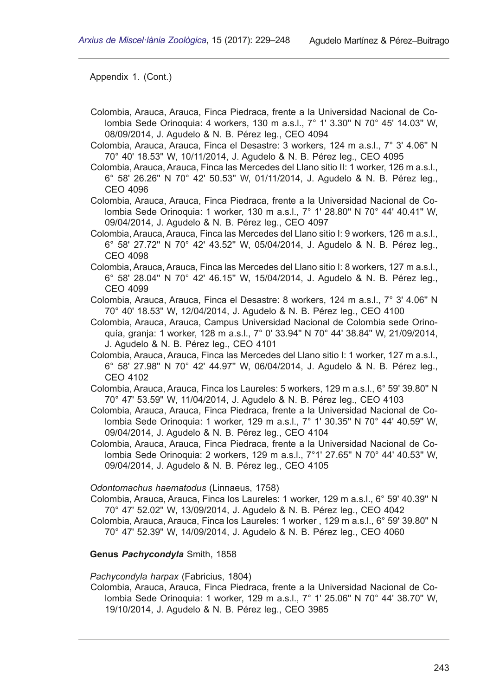- Colombia, Arauca, Arauca, Finca Piedraca, frente a la Universidad Nacional de Colombia Sede Orinoquia: 4 workers, 130 m a.s.l., 7° 1' 3.30'' N 70° 45' 14.03'' W, 08/09/2014, J. Agudelo & N. B. Pérez leg., CEO 4094
- Colombia, Arauca, Arauca, Finca el Desastre: 3 workers, 124 m a.s.l., 7° 3' 4.06'' N 70° 40' 18.53'' W, 10/11/2014, J. Agudelo & N. B. Pérez leg., CEO 4095
- Colombia, Arauca, Arauca, Finca las Mercedes del Llano sitio II: 1 worker, 126 m a.s.l., 6° 58' 26.26'' N 70° 42' 50.53'' W, 01/11/2014, J. Agudelo & N. B. Pérez leg., CEO 4096

Colombia, Arauca, Arauca, Finca Piedraca, frente a la Universidad Nacional de Colombia Sede Orinoquia: 1 worker, 130 m a.s.l., 7° 1' 28.80'' N 70° 44' 40.41'' W, 09/04/2014, J. Agudelo & N. B. Pérez leg., CEO 4097

- Colombia, Arauca, Arauca, Finca las Mercedes del Llano sitio I: 9 workers, 126 m a.s.l., 6° 58' 27.72'' N 70° 42' 43.52'' W, 05/04/2014, J. Agudelo & N. B. Pérez leg., CEO 4098
- Colombia, Arauca, Arauca, Finca las Mercedes del Llano sitio I: 8 workers, 127 m a.s.l., 6° 58' 28.04'' N 70° 42' 46.15'' W, 15/04/2014, J. Agudelo & N. B. Pérez leg., CEO 4099
- Colombia, Arauca, Arauca, Finca el Desastre: 8 workers, 124 m a.s.l., 7° 3' 4.06'' N 70° 40' 18.53'' W, 12/04/2014, J. Agudelo & N. B. Pérez leg., CEO 4100
- Colombia, Arauca, Arauca, Campus Universidad Nacional de Colombia sede Orino� quía, granja: 1 worker, 128 m a.s.l., 7° 0' 33.94'' N 70° 44' 38.84'' W, 21/09/2014, J. Agudelo & N. B. Pérez leg., CEO 4101
- Colombia, Arauca, Arauca, Finca las Mercedes del Llano sitio I: 1 worker, 127 m a.s.l., 6° 58' 27.98'' N 70° 42' 44.97'' W, 06/04/2014, J. Agudelo & N. B. Pérez leg., CEO 4102
- Colombia, Arauca, Arauca, Finca los Laureles: 5 workers, 129 m a.s.l., 6° 59' 39.80'' N 70° 47' 53.59'' W, 11/04/2014, J. Agudelo & N. B. Pérez leg., CEO 4103
- Colombia, Arauca, Arauca, Finca Piedraca, frente a la Universidad Nacional de Colombia Sede Orinoquia: 1 worker, 129 m a.s.l., 7° 1' 30.35'' N 70° 44' 40.59'' W, 09/04/2014, J. Agudelo & N. B. Pérez leg., CEO 4104
- Colombia, Arauca, Arauca, Finca Piedraca, frente a la Universidad Nacional de Colombia Sede Orinoquia: 2 workers, 129 m a.s.l., 7°1' 27.65'' N 70° 44' 40.53'' W, 09/04/2014, J. Agudelo & N. B. Pérez leg., CEO 4105

*Odontomachus haematodus* (Linnaeus, 1758)

- Colombia, Arauca, Arauca, Finca los Laureles: 1 worker, 129 m a.s.l., 6° 59' 40.39'' N 70° 47' 52.02'' W, 13/09/2014, J. Agudelo & N. B. Pérez leg., CEO 4042
- Colombia, Arauca, Arauca, Finca los Laureles: 1 worker , 129 m a.s.l., 6° 59' 39.80'' N 70° 47' 52.39'' W, 14/09/2014, J. Agudelo & N. B. Pérez leg., CEO 4060

#### **Genus** *Pachycondyla* Smith, 1858

#### *Pachycondyla harpax* (Fabricius, 1804)

Colombia, Arauca, Arauca, Finca Piedraca, frente a la Universidad Nacional de Colombia Sede Orinoquia: 1 worker, 129 m a.s.l., 7° 1' 25.06'' N 70° 44' 38.70'' W, 19/10/2014, J. Agudelo & N. B. Pérez leg., CEO 3985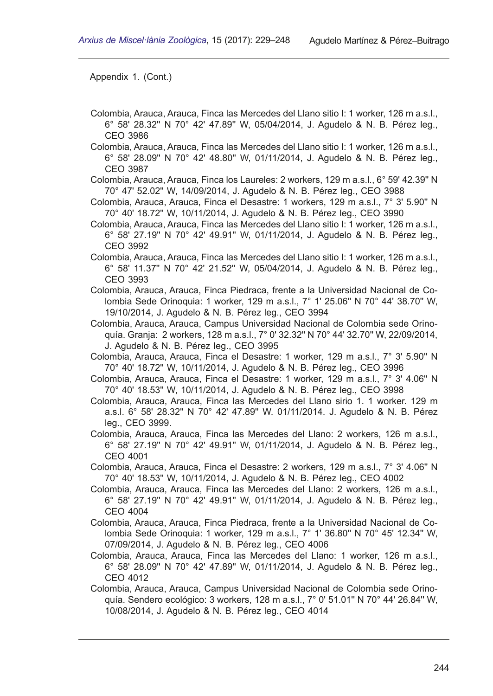- Colombia, Arauca, Arauca, Finca las Mercedes del Llano sitio I: 1 worker, 126 m a.s.l., 6° 58' 28.32'' N 70° 42' 47.89'' W, 05/04/2014, J. Agudelo & N. B. Pérez leg., CEO 3986
- Colombia, Arauca, Arauca, Finca las Mercedes del Llano sitio I: 1 worker, 126 m a.s.l., 6° 58' 28.09'' N 70° 42' 48.80'' W, 01/11/2014, J. Agudelo & N. B. Pérez leg., CEO 3987
- Colombia, Arauca, Arauca, Finca los Laureles: 2 workers, 129 m a.s.l., 6° 59' 42.39'' N 70° 47' 52.02'' W, 14/09/2014, J. Agudelo & N. B. Pérez leg., CEO 3988
- Colombia, Arauca, Arauca, Finca el Desastre: 1 workers, 129 m a.s.l., 7° 3' 5.90'' N 70° 40' 18.72'' W, 10/11/2014, J. Agudelo & N. B. Pérez leg., CEO 3990
- Colombia, Arauca, Arauca, Finca las Mercedes del Llano sitio I: 1 worker, 126 m a.s.l., 6° 58' 27.19'' N 70° 42' 49.91'' W, 01/11/2014, J. Agudelo & N. B. Pérez leg., CEO 3992
- Colombia, Arauca, Arauca, Finca las Mercedes del Llano sitio I: 1 worker, 126 m a.s.l., 6° 58' 11.37'' N 70° 42' 21.52'' W, 05/04/2014, J. Agudelo & N. B. Pérez leg., CEO 3993
- Colombia, Arauca, Arauca, Finca Piedraca, frente a la Universidad Nacional de Colombia Sede Orinoquia: 1 worker, 129 m a.s.l., 7° 1' 25.06'' N 70° 44' 38.70'' W, 19/10/2014, J. Agudelo & N. B. Pérez leg., CEO 3994
- Colombia, Arauca, Arauca, Campus Universidad Nacional de Colombia sede Orino� quía. Granja: 2 workers, 128 m a.s.l., 7° 0' 32.32'' N 70° 44' 32.70'' W, 22/09/2014, J. Agudelo & N. B. Pérez leg., CEO 3995
- Colombia, Arauca, Arauca, Finca el Desastre: 1 worker, 129 m a.s.l., 7° 3' 5.90'' N 70° 40' 18.72'' W, 10/11/2014, J. Agudelo & N. B. Pérez leg., CEO 3996
- Colombia, Arauca, Arauca, Finca el Desastre: 1 worker, 129 m a.s.l., 7° 3' 4.06'' N 70° 40' 18.53'' W, 10/11/2014, J. Agudelo & N. B. Pérez leg., CEO 3998
- Colombia, Arauca, Arauca, Finca las Mercedes del Llano sirio 1. 1 worker. 129 m a.s.l. 6° 58' 28.32'' N 70° 42' 47.89'' W. 01/11/2014. J. Agudelo & N. B. Pérez leg., CEO 3999.
- Colombia, Arauca, Arauca, Finca las Mercedes del Llano: 2 workers, 126 m a.s.l., 6° 58' 27.19'' N 70° 42' 49.91'' W, 01/11/2014, J. Agudelo & N. B. Pérez leg., CEO 4001
- Colombia, Arauca, Arauca, Finca el Desastre: 2 workers, 129 m a.s.l., 7° 3' 4.06'' N 70° 40' 18.53'' W, 10/11/2014, J. Agudelo & N. B. Pérez leg., CEO 4002
- Colombia, Arauca, Arauca, Finca las Mercedes del Llano: 2 workers, 126 m a.s.l., 6° 58' 27.19'' N 70° 42' 49.91'' W, 01/11/2014, J. Agudelo & N. B. Pérez leg., CEO 4004
- Colombia, Arauca, Arauca, Finca Piedraca, frente a la Universidad Nacional de Colombia Sede Orinoquia: 1 worker, 129 m a.s.l., 7° 1' 36.80'' N 70° 45' 12.34'' W, 07/09/2014, J. Agudelo & N. B. Pérez leg., CEO 4006
- Colombia, Arauca, Arauca, Finca las Mercedes del Llano: 1 worker, 126 m a.s.l., 6° 58' 28.09'' N 70° 42' 47.89'' W, 01/11/2014, J. Agudelo & N. B. Pérez leg., CEO 4012
- Colombia, Arauca, Arauca, Campus Universidad Nacional de Colombia sede Orino� quía. Sendero ecológico: 3 workers, 128 m a.s.l., 7° 0' 51.01'' N 70° 44' 26.84'' W, 10/08/2014, J. Agudelo & N. B. Pérez leg., CEO 4014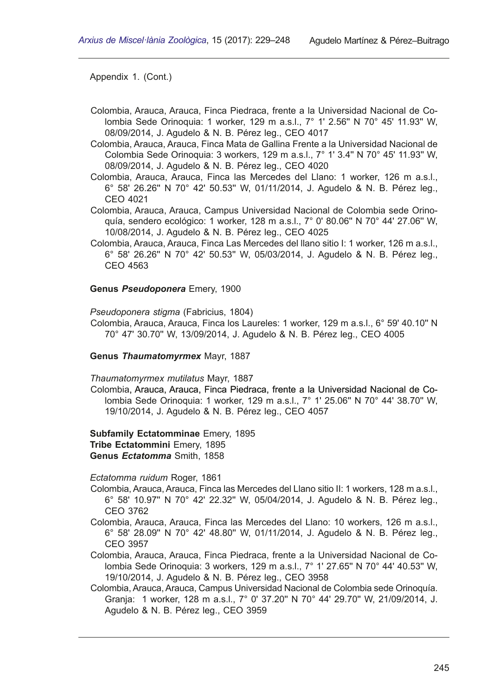- Colombia, Arauca, Arauca, Finca Piedraca, frente a la Universidad Nacional de Colombia Sede Orinoquia: 1 worker, 129 m a.s.l., 7° 1' 2.56'' N 70° 45' 11.93'' W, 08/09/2014, J. Agudelo & N. B. Pérez leg., CEO 4017
- Colombia, Arauca, Arauca, Finca Mata de Gallina Frente a la Universidad Nacional de Colombia Sede Orinoquia: 3 workers, 129 m a.s.l., 7° 1' 3.4'' N 70° 45' 11.93'' W, 08/09/2014, J. Agudelo & N. B. Pérez leg., CEO 4020
- Colombia, Arauca, Arauca, Finca las Mercedes del Llano: 1 worker, 126 m a.s.l., 6° 58' 26.26'' N 70° 42' 50.53'' W, 01/11/2014, J. Agudelo & N. B. Pérez leg., CEO 4021
- Colombia, Arauca, Arauca, Campus Universidad Nacional de Colombia sede Orino� quía, sendero ecológico: 1 worker, 128 m a.s.l., 7° 0' 80.06'' N 70° 44' 27.06'' W, 10/08/2014, J. Agudelo & N. B. Pérez leg., CEO 4025
- Colombia, Arauca, Arauca, Finca Las Mercedes del llano sitio I: 1 worker, 126 m a.s.l., 6° 58' 26.26'' N 70° 42' 50.53'' W, 05/03/2014, J. Agudelo & N. B. Pérez leg., CEO 4563

#### **Genus** *Pseudoponera* Emery, 1900

*Pseudoponera stigma* (Fabricius, 1804)

- Colombia, Arauca, Arauca, Finca los Laureles: 1 worker, 129 m a.s.l., 6° 59' 40.10'' N 70° 47' 30.70'' W, 13/09/2014, J. Agudelo & N. B. Pérez leg., CEO 4005
- **Genus** *Thaumatomyrmex* Mayr, 1887
- *Thaumatomyrmex mutilatus* Mayr, 1887
- Colombia, Arauca, Arauca, Finca Piedraca, frente a la Universidad Nacional de Colombia Sede Orinoquia: 1 worker, 129 m a.s.l., 7° 1' 25.06'' N 70° 44' 38.70'' W, 19/10/2014, J. Agudelo & N. B. Pérez leg., CEO 4057
- **Subfamily Ectatomminae** Emery, 1895 **Tribe Ectatommini** Emery, 1895 **Genus** *Ectatomma* Smith, 1858
- *Ectatomma ruidum* Roger, 1861
- Colombia, Arauca, Arauca, Finca las Mercedes del Llano sitio II: 1 workers, 128 m a.s.l., 6° 58' 10.97'' N 70° 42' 22.32'' W, 05/04/2014, J. Agudelo & N. B. Pérez leg., CEO 3762
- Colombia, Arauca, Arauca, Finca las Mercedes del Llano: 10 workers, 126 m a.s.l., 6° 58' 28.09'' N 70° 42' 48.80'' W, 01/11/2014, J. Agudelo & N. B. Pérez leg., CEO 3957
- Colombia, Arauca, Arauca, Finca Piedraca, frente a la Universidad Nacional de Colombia Sede Orinoquia: 3 workers, 129 m a.s.l., 7° 1' 27.65'' N 70° 44' 40.53'' W, 19/10/2014, J. Agudelo & N. B. Pérez leg., CEO 3958
- Colombia, Arauca, Arauca, Campus Universidad Nacional de Colombia sede Orinoquía. Granja: 1 worker, 128 m a.s.l., 7° 0' 37.20'' N 70° 44' 29.70'' W, 21/09/2014, J. Agudelo & N. B. Pérez leg., CEO 3959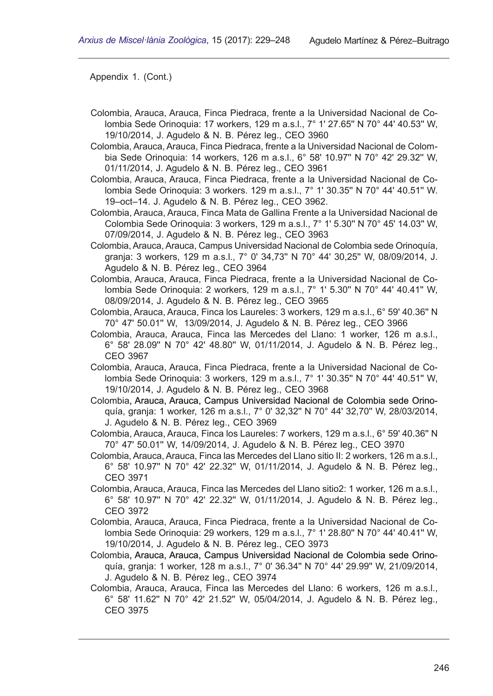- Colombia, Arauca, Arauca, Finca Piedraca, frente a la Universidad Nacional de Co� lombia Sede Orinoquia: 17 workers, 129 m a.s.l., 7° 1' 27.65'' N 70° 44' 40.53'' W, 19/10/2014, J. Agudelo & N. B. Pérez leg., CEO 3960
- Colombia, Arauca, Arauca, Finca Piedraca, frente a la Universidad Nacional de Colom� bia Sede Orinoquia: 14 workers, 126 m a.s.l., 6° 58' 10.97'' N 70° 42' 29.32'' W, 01/11/2014, J. Agudelo & N. B. Pérez leg., CEO 3961
- Colombia, Arauca, Arauca, Finca Piedraca, frente a la Universidad Nacional de Colombia Sede Orinoquia: 3 workers. 129 m a.s.l., 7° 1' 30.35'' N 70° 44' 40.51'' W. 19–oct–14. J. Agudelo & N. B. Pérez leg., CEO 3962.
- Colombia, Arauca, Arauca, Finca Mata de Gallina Frente a la Universidad Nacional de Colombia Sede Orinoquia: 3 workers, 129 m a.s.l., 7° 1' 5.30'' N 70° 45' 14.03'' W, 07/09/2014, J. Agudelo & N. B. Pérez leg., CEO 3963
- Colombia, Arauca, Arauca, Campus Universidad Nacional de Colombia sede Orinoquía, granja: 3 workers, 129 m a.s.l., 7° 0' 34,73'' N 70° 44' 30,25'' W, 08/09/2014, J. Agudelo & N. B. Pérez leg., CEO 3964
- Colombia, Arauca, Arauca, Finca Piedraca, frente a la Universidad Nacional de Colombia Sede Orinoquia: 2 workers, 129 m a.s.l., 7° 1' 5.30'' N 70° 44' 40.41'' W, 08/09/2014, J. Agudelo & N. B. Pérez leg., CEO 3965
- Colombia, Arauca, Arauca, Finca los Laureles: 3 workers, 129 m a.s.l., 6° 59' 40.36'' N 70° 47' 50.01'' W, 13/09/2014, J. Agudelo & N. B. Pérez leg., CEO 3966
- Colombia, Arauca, Arauca, Finca las Mercedes del Llano: 1 worker, 126 m a.s.l., 6° 58' 28.09'' N 70° 42' 48.80'' W, 01/11/2014, J. Agudelo & N. B. Pérez leg., CEO 3967
- Colombia, Arauca, Arauca, Finca Piedraca, frente a la Universidad Nacional de Colombia Sede Orinoquia: 3 workers, 129 m a.s.l., 7° 1' 30.35'' N 70° 44' 40.51'' W, 19/10/2014, J. Agudelo & N. B. Pérez leg., CEO 3968
- Colombia, Arauca, Arauca, Campus Universidad Nacional de Colombia sede Orinoquía, granja: 1 worker, 126 m a.s.l., 7° 0' 32,32'' N 70° 44' 32,70'' W, 28/03/2014, J. Agudelo & N. B. Pérez leg., CEO 3969
- Colombia, Arauca, Arauca, Finca los Laureles: 7 workers, 129 m a.s.l., 6° 59' 40.36'' N 70° 47' 50.01'' W, 14/09/2014, J. Agudelo & N. B. Pérez leg., CEO 3970
- Colombia, Arauca, Arauca, Finca las Mercedes del Llano sitio II: 2 workers, 126 m a.s.l., 6° 58' 10.97'' N 70° 42' 22.32'' W, 01/11/2014, J. Agudelo & N. B. Pérez leg., CEO 3971
- Colombia, Arauca, Arauca, Finca las Mercedes del Llano sitio2: 1 worker, 126 m a.s.l., 6° 58' 10.97'' N 70° 42' 22.32'' W, 01/11/2014, J. Agudelo & N. B. Pérez leg., CEO 3972
- Colombia, Arauca, Arauca, Finca Piedraca, frente a la Universidad Nacional de Colombia Sede Orinoquia: 29 workers, 129 m a.s.l., 7° 1' 28.80'' N 70° 44' 40.41'' W, 19/10/2014, J. Agudelo & N. B. Pérez leg., CEO 3973
- Colombia, Arauca, Arauca, Campus Universidad Nacional de Colombia sede Orinoquía, granja: 1 worker, 128 m a.s.l., 7° 0' 36.34'' N 70° 44' 29.99'' W, 21/09/2014, J. Agudelo & N. B. Pérez leg., CEO 3974
- Colombia, Arauca, Arauca, Finca las Mercedes del Llano: 6 workers, 126 m a.s.l., 6° 58' 11.62'' N 70° 42' 21.52'' W, 05/04/2014, J. Agudelo & N. B. Pérez leg., CEO 3975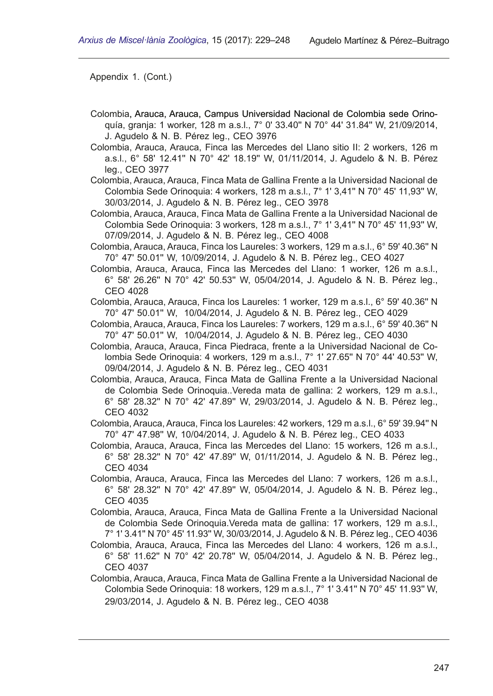- Colombia, Arauca, Arauca, Campus Universidad Nacional de Colombia sede Orinoquía, granja: 1 worker, 128 m a.s.l., 7° 0' 33.40'' N 70° 44' 31.84'' W, 21/09/2014, J. Agudelo & N. B. Pérez leg., CEO 3976
- Colombia, Arauca, Arauca, Finca las Mercedes del Llano sitio II: 2 workers, 126 m a.s.l., 6° 58' 12.41'' N 70° 42' 18.19'' W, 01/11/2014, J. Agudelo & N. B. Pérez leg., CEO 3977
- Colombia, Arauca, Arauca, Finca Mata de Gallina Frente a la Universidad Nacional de Colombia Sede Orinoquia: 4 workers, 128 m a.s.l., 7° 1' 3,41'' N 70° 45' 11,93'' W, 30/03/2014, J. Agudelo & N. B. Pérez leg., CEO 3978
- Colombia, Arauca, Arauca, Finca Mata de Gallina Frente a la Universidad Nacional de Colombia Sede Orinoquia: 3 workers, 128 m a.s.l., 7° 1' 3,41'' N 70° 45' 11,93'' W, 07/09/2014, J. Agudelo & N. B. Pérez leg., CEO 4008
- Colombia, Arauca, Arauca, Finca los Laureles: 3 workers, 129 m a.s.l., 6° 59' 40.36'' N 70° 47' 50.01'' W, 10/09/2014, J. Agudelo & N. B. Pérez leg., CEO 4027
- Colombia, Arauca, Arauca, Finca las Mercedes del Llano: 1 worker, 126 m a.s.l., 6° 58' 26.26'' N 70° 42' 50.53'' W, 05/04/2014, J. Agudelo & N. B. Pérez leg., CEO 4028
- Colombia, Arauca, Arauca, Finca los Laureles: 1 worker, 129 m a.s.l., 6° 59' 40.36'' N 70° 47' 50.01'' W, 10/04/2014, J. Agudelo & N. B. Pérez leg., CEO 4029
- Colombia, Arauca, Arauca, Finca los Laureles: 7 workers, 129 m a.s.l., 6° 59' 40.36'' N 70° 47' 50.01'' W, 10/04/2014, J. Agudelo & N. B. Pérez leg., CEO 4030
- Colombia, Arauca, Arauca, Finca Piedraca, frente a la Universidad Nacional de Colombia Sede Orinoquia: 4 workers, 129 m a.s.l., 7° 1' 27.65'' N 70° 44' 40.53'' W, 09/04/2014, J. Agudelo & N. B. Pérez leg., CEO 4031
- Colombia, Arauca, Arauca, Finca Mata de Gallina Frente a la Universidad Nacional de Colombia Sede Orinoquia..Vereda mata de gallina: 2 workers, 129 m a.s.l., 6° 58' 28.32'' N 70° 42' 47.89'' W, 29/03/2014, J. Agudelo & N. B. Pérez leg., CEO 4032
- Colombia, Arauca, Arauca, Finca los Laureles: 42 workers, 129 m a.s.l., 6° 59' 39.94'' N 70° 47' 47.98'' W, 10/04/2014, J. Agudelo & N. B. Pérez leg., CEO 4033
- Colombia, Arauca, Arauca, Finca las Mercedes del Llano: 15 workers, 126 m a.s.l., 6° 58' 28.32'' N 70° 42' 47.89'' W, 01/11/2014, J. Agudelo & N. B. Pérez leg., CEO 4034
- Colombia, Arauca, Arauca, Finca las Mercedes del Llano: 7 workers, 126 m a.s.l., 6° 58' 28.32'' N 70° 42' 47.89'' W, 05/04/2014, J. Agudelo & N. B. Pérez leg., CEO 4035
- Colombia, Arauca, Arauca, Finca Mata de Gallina Frente a la Universidad Nacional de Colombia Sede Orinoquia.Vereda mata de gallina: 17 workers, 129 m a.s.l., 7° 1' 3.41'' N 70° 45' 11.93'' W, 30/03/2014, J. Agudelo & N. B. Pérez leg., CEO 4036
- Colombia, Arauca, Arauca, Finca las Mercedes del Llano: 4 workers, 126 m a.s.l., 6° 58' 11.62'' N 70° 42' 20.78'' W, 05/04/2014, J. Agudelo & N. B. Pérez leg., CEO 4037
- Colombia, Arauca, Arauca, Finca Mata de Gallina Frente a la Universidad Nacional de Colombia Sede Orinoquia: 18 workers, 129 m a.s.l., 7° 1' 3.41'' N 70° 45' 11.93'' W, 29/03/2014, J. Agudelo & N. B. Pérez leg., CEO 4038